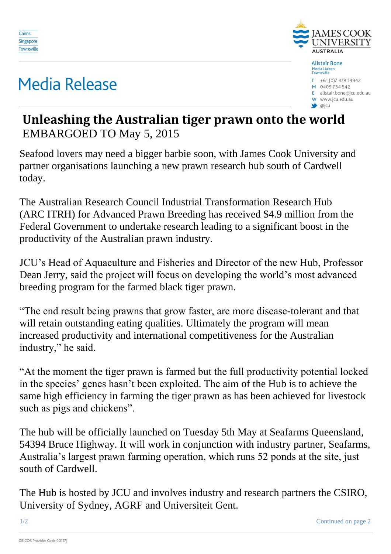

## **Media Release**



W www.jcu.edu.au

 $\bullet$  @jcu

## **Unleashing the Australian tiger prawn onto the world** EMBARGOED TO May 5, 2015

Seafood lovers may need a bigger barbie soon, with James Cook University and partner organisations launching a new prawn research hub south of Cardwell today.

The Australian Research Council Industrial Transformation Research Hub (ARC ITRH) for Advanced Prawn Breeding has received \$4.9 million from the Federal Government to undertake research leading to a significant boost in the productivity of the Australian prawn industry.

JCU's Head of Aquaculture and Fisheries and Director of the new Hub, Professor Dean Jerry, said the project will focus on developing the world's most advanced breeding program for the farmed black tiger prawn.

"The end result being prawns that grow faster, are more disease-tolerant and that will retain outstanding eating qualities. Ultimately the program will mean increased productivity and international competitiveness for the Australian industry," he said.

"At the moment the tiger prawn is farmed but the full productivity potential locked in the species' genes hasn't been exploited. The aim of the Hub is to achieve the same high efficiency in farming the tiger prawn as has been achieved for livestock such as pigs and chickens".

The hub will be officially launched on Tuesday 5th May at Seafarms Queensland, 54394 Bruce Highway. It will work in conjunction with industry partner, Seafarms, Australia's largest prawn farming operation, which runs 52 ponds at the site, just south of Cardwell.

The Hub is hosted by JCU and involves industry and research partners the CSIRO, University of Sydney, AGRF and Universiteit Gent.